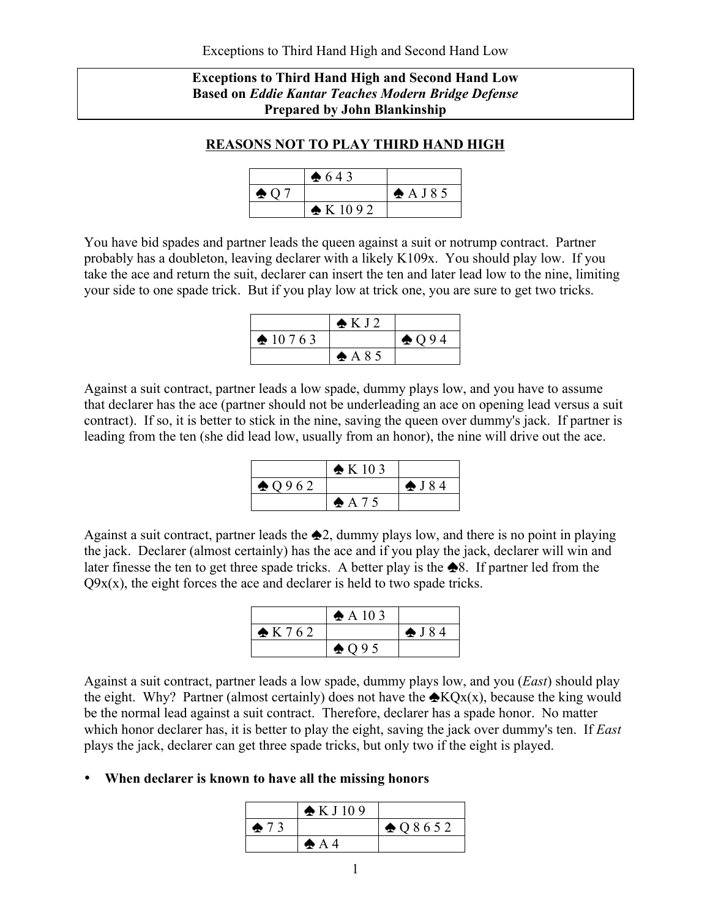### **Exceptions to Third Hand High and Second Hand Low Based on** *Eddie Kantar Teaches Modern Bridge Defense* **Prepared by John Blankinship**

#### **REASONS NOT TO PLAY THIRD HAND HIGH**

|               | 643                |                     |
|---------------|--------------------|---------------------|
| $\clubsuit$ Q |                    | $\triangle$ A J 8 5 |
|               | $\triangle$ K 1092 |                     |

You have bid spades and partner leads the queen against a suit or notrump contract. Partner probably has a doubleton, leaving declarer with a likely K109x. You should play low. If you take the ace and return the suit, declarer can insert the ten and later lead low to the nine, limiting your side to one spade trick. But if you play low at trick one, you are sure to get two tricks.

|                   | $\triangle$ K J 2 |                 |
|-------------------|-------------------|-----------------|
| $\triangle 10763$ |                   | $\triangle$ Q94 |
|                   | $\triangle$ A 8 5 |                 |

Against a suit contract, partner leads a low spade, dummy plays low, and you have to assume that declarer has the ace (partner should not be underleading an ace on opening lead versus a suit contract). If so, it is better to stick in the nine, saving the queen over dummy's jack. If partner is leading from the ten (she did lead low, usually from an honor), the nine will drive out the ace.

|                  | $\triangle K$ 10 3 |                  |
|------------------|--------------------|------------------|
| $\triangle$ Q962 |                    | $\bigoplus$ J 84 |
|                  | $AA$ 75            |                  |

Against a suit contract, partner leads the  $\triangle 2$ , dummy plays low, and there is no point in playing the jack. Declarer (almost certainly) has the ace and if you play the jack, declarer will win and later finesse the ten to get three spade tricks. A better play is the  $\triangle 8$ . If partner led from the  $Q9x(x)$ , the eight forces the ace and declarer is held to two spade tricks.

|                 | $\triangle$ A 10 3 |                  |
|-----------------|--------------------|------------------|
| $\bigstar$ K762 |                    | $\triangle$ J 84 |
|                 | $\triangle$ 095    |                  |

Against a suit contract, partner leads a low spade, dummy plays low, and you (*East*) should play the eight. Why? Partner (almost certainly) does not have the  $\triangle KOx(x)$ , because the king would be the normal lead against a suit contract. Therefore, declarer has a spade honor. No matter which honor declarer has, it is better to play the eight, saving the jack over dummy's ten. If *East* plays the jack, declarer can get three spade tricks, but only two if the eight is played.

#### • **When declarer is known to have all the missing honors**

|                | $\triangle$ KJ109 |                       |
|----------------|-------------------|-----------------------|
| $\bigoplus$ 73 |                   | $\bigoplus$ Q 8 6 5 2 |
|                | $\triangle$ A 4   |                       |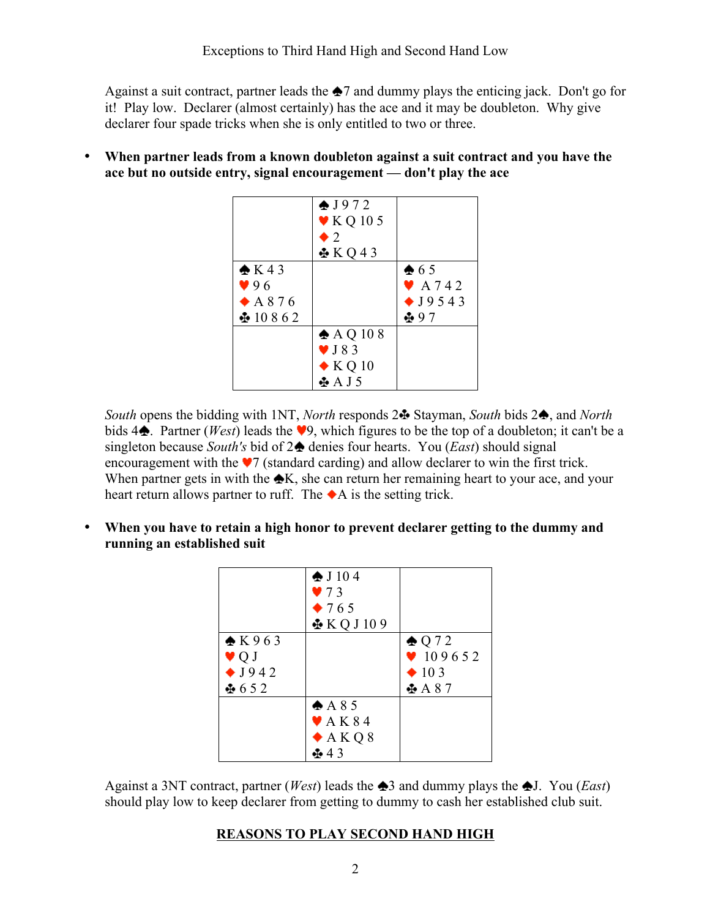Against a suit contract, partner leads the  $\triangle 7$  and dummy plays the enticing jack. Don't go for it! Play low. Declarer (almost certainly) has the ace and it may be doubleton. Why give declarer four spade tricks when she is only entitled to two or three.

• **When partner leads from a known doubleton against a suit contract and you have the ace but no outside entry, signal encouragement — don't play the ace**

|                                                                        | $\triangle$ J972<br>$\blacktriangledown$ KQ 105<br>$\bullet$ 2<br>$\pm$ KQ43         |                                                                            |
|------------------------------------------------------------------------|--------------------------------------------------------------------------------------|----------------------------------------------------------------------------|
| $\triangle$ K 43<br>96<br>$\triangle$ A 876<br>$\cdot\cdot\cdot$ 10862 |                                                                                      | $\clubsuit 65$<br>$\blacktriangleright$ A 742<br>$\bigstar$ 19543<br>$+97$ |
|                                                                        | $\triangle$ A Q 10 8<br>$\blacktriangledown$ J 8 3<br>$\blacklozenge$ K Q 10<br>⊕AJ5 |                                                                            |

*South* opens the bidding with 1NT, *North* responds 2 $\triangle$  Stayman, *South* bids 2 $\triangle$ , and *North* bids  $4\spadesuit$ . Partner (*West*) leads the  $\blacktriangledown$ , which figures to be the top of a doubleton; it can't be a singleton because *South's* bid of 2<sup> $\triangle$ </sup> denies four hearts. You (*East*) should signal encouragement with the  $\vee$ 7 (standard carding) and allow declarer to win the first trick. When partner gets in with the  $\bigstar K$ , she can return her remaining heart to your ace, and your heart return allows partner to ruff. The  $\blacklozenge$  A is the setting trick.

• **When you have to retain a high honor to prevent declarer getting to the dummy and running an established suit**

|                          | $\triangle$ J 104           |                   |
|--------------------------|-----------------------------|-------------------|
|                          | 73                          |                   |
|                          | $\bullet$ 765               |                   |
|                          | $\bullet$ KQJ109            |                   |
| $\triangle$ K963         |                             | $\triangle$ Q 7 2 |
| $\blacktriangledown$ Q J |                             | 9652              |
| $\bigstar$ J942          |                             | $\triangleq 103$  |
| $\pm 652$                |                             | $\triangle$ A 87  |
|                          | $\triangle$ A 8 5           |                   |
|                          | $\blacktriangledown$ A K 84 |                   |
|                          | $\triangle$ A K Q 8         |                   |
|                          | $\clubsuit$ 43              |                   |

Against a 3NT contract, partner (*West*) leads the  $\triangle 3$  and dummy plays the  $\triangle 1$ . You (*East*) should play low to keep declarer from getting to dummy to cash her established club suit.

# **REASONS TO PLAY SECOND HAND HIGH**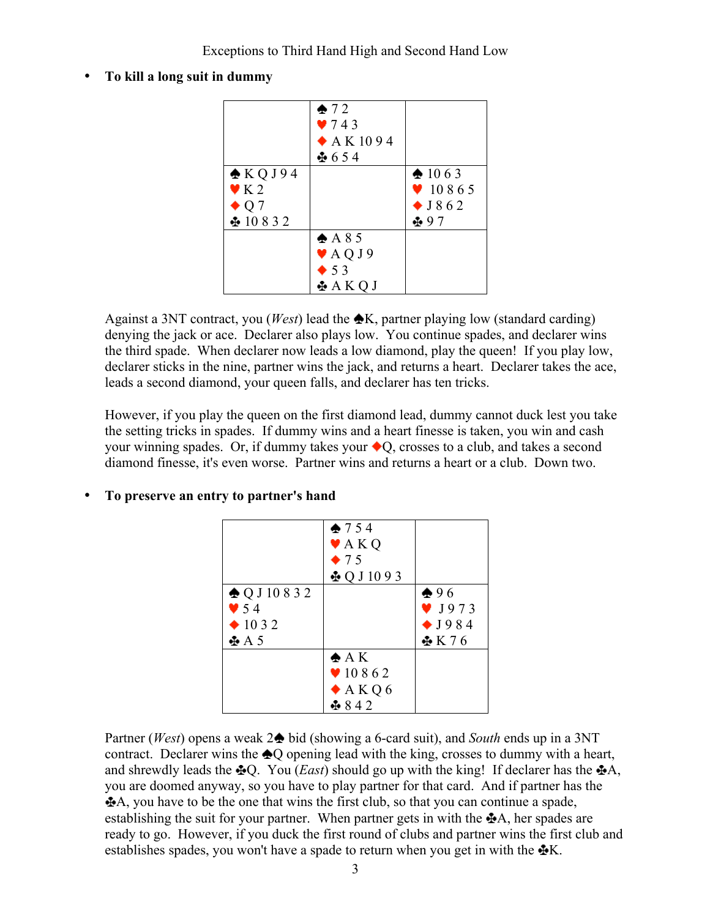|                          | $\triangle$ 72            |                   |
|--------------------------|---------------------------|-------------------|
|                          | 743                       |                   |
|                          | $\triangle$ A K 1094      |                   |
|                          | $+654$                    |                   |
| $\triangle$ KQJ94        |                           | $\triangle 1063$  |
| $\blacktriangledown$ K 2 |                           | $\bullet$ 10865   |
| $\blacklozenge$ Q 7      |                           | $\bullet$ J 8 6 2 |
| $\cdot\cdot\cdot$ 10832  |                           | $+97$             |
|                          | $\triangle$ A 8 5         |                   |
|                          | $\blacktriangledown$ AQJ9 |                   |
|                          | $\bullet$ 53              |                   |
|                          | $\triangle$ AKQJ          |                   |

# • **To kill a long suit in dummy**

Against a 3NT contract, you (*West*) lead the  $\triangle K$ , partner playing low (standard carding) denying the jack or ace. Declarer also plays low. You continue spades, and declarer wins the third spade. When declarer now leads a low diamond, play the queen! If you play low, declarer sticks in the nine, partner wins the jack, and returns a heart. Declarer takes the ace, leads a second diamond, your queen falls, and declarer has ten tricks.

However, if you play the queen on the first diamond lead, dummy cannot duck lest you take the setting tricks in spades. If dummy wins and a heart finesse is taken, you win and cash your winning spades. Or, if dummy takes your  $\triangleleft Q$ , crosses to a club, and takes a second diamond finesse, it's even worse. Partner wins and returns a heart or a club. Down two.

|                          | 2754                          |                               |
|--------------------------|-------------------------------|-------------------------------|
|                          | $\blacktriangleright$ A K Q   |                               |
|                          | $\bullet$ 75                  |                               |
|                          | $\clubsuit$ Q J 10 9 3        |                               |
| $\triangle$ Q J 10 8 3 2 |                               | $*96$                         |
| $\blacktriangledown$ 54  |                               | $\blacktriangledown$ J973     |
| $\triangle$ 10 3 2       |                               | $\bigstar$ J984               |
| $\triangle$ A 5          |                               | $\mathbf{\mathbf{\Phi}}$ K 76 |
|                          | A K                           |                               |
|                          | $\blacktriangledown$ 10 8 6 2 |                               |
|                          | $\triangle$ A K Q 6           |                               |
|                          | $-842$                        |                               |

# • **To preserve an entry to partner's hand**

Partner (*West*) opens a weak 2<sup> $\triangle$ </sup> bid (showing a 6-card suit), and *South* ends up in a 3NT contract. Declarer wins the  $\triangleq$ O opening lead with the king, crosses to dummy with a heart, and shrewdly leads the  $\clubsuit Q$ . You (*East*) should go up with the king! If declarer has the  $\clubsuit A$ , you are doomed anyway, so you have to play partner for that card. And if partner has the A, you have to be the one that wins the first club, so that you can continue a spade, establishing the suit for your partner. When partner gets in with the  $\clubsuit A$ , her spades are ready to go. However, if you duck the first round of clubs and partner wins the first club and establishes spades, you won't have a spade to return when you get in with the  $\mathbf{\&K}$ .